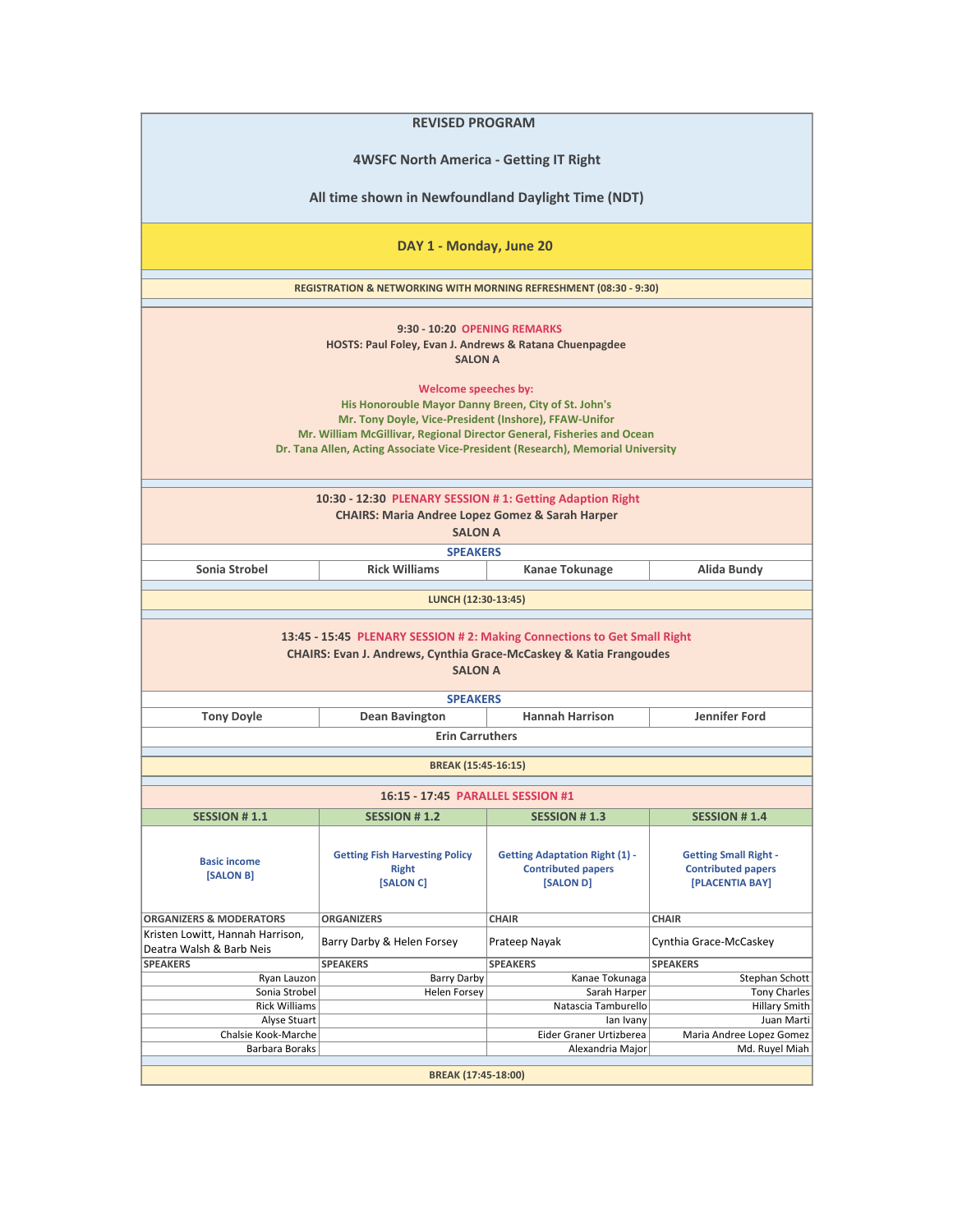| <b>REVISED PROGRAM</b>                                                                                                                                                                                                                                                                             |                                                                              |                                                                                 |                                                                              |  |  |
|----------------------------------------------------------------------------------------------------------------------------------------------------------------------------------------------------------------------------------------------------------------------------------------------------|------------------------------------------------------------------------------|---------------------------------------------------------------------------------|------------------------------------------------------------------------------|--|--|
| <b>4WSFC North America - Getting IT Right</b>                                                                                                                                                                                                                                                      |                                                                              |                                                                                 |                                                                              |  |  |
| All time shown in Newfoundland Daylight Time (NDT)                                                                                                                                                                                                                                                 |                                                                              |                                                                                 |                                                                              |  |  |
|                                                                                                                                                                                                                                                                                                    | DAY 1 - Monday, June 20                                                      |                                                                                 |                                                                              |  |  |
|                                                                                                                                                                                                                                                                                                    | <b>REGISTRATION &amp; NETWORKING WITH MORNING REFRESHMENT (08:30 - 9:30)</b> |                                                                                 |                                                                              |  |  |
| 9:30 - 10:20 OPENING REMARKS<br>HOSTS: Paul Foley, Evan J. Andrews & Ratana Chuenpagdee<br><b>SALON A</b>                                                                                                                                                                                          |                                                                              |                                                                                 |                                                                              |  |  |
| Welcome speeches by:<br>His Honorouble Mayor Danny Breen, City of St. John's<br>Mr. Tony Doyle, Vice-President (Inshore), FFAW-Unifor<br>Mr. William McGillivar, Regional Director General, Fisheries and Ocean<br>Dr. Tana Allen, Acting Associate Vice-President (Research), Memorial University |                                                                              |                                                                                 |                                                                              |  |  |
| 10:30 - 12:30 PLENARY SESSION # 1: Getting Adaption Right<br><b>CHAIRS: Maria Andree Lopez Gomez &amp; Sarah Harper</b><br><b>SALON A</b>                                                                                                                                                          |                                                                              |                                                                                 |                                                                              |  |  |
|                                                                                                                                                                                                                                                                                                    | <b>SPEAKERS</b>                                                              |                                                                                 |                                                                              |  |  |
| Sonia Strobel                                                                                                                                                                                                                                                                                      | <b>Rick Williams</b>                                                         | Kanae Tokunage                                                                  | Alida Bundy                                                                  |  |  |
|                                                                                                                                                                                                                                                                                                    | LUNCH (12:30-13:45)                                                          |                                                                                 |                                                                              |  |  |
| 13:45 - 15:45 PLENARY SESSION # 2: Making Connections to Get Small Right<br><b>CHAIRS: Evan J. Andrews, Cynthia Grace-McCaskey &amp; Katia Frangoudes</b><br><b>SALON A</b>                                                                                                                        |                                                                              |                                                                                 |                                                                              |  |  |
|                                                                                                                                                                                                                                                                                                    | <b>SPEAKERS</b>                                                              |                                                                                 |                                                                              |  |  |
| <b>Tony Doyle</b>                                                                                                                                                                                                                                                                                  | <b>Hannah Harrison</b><br>Jennifer Ford<br><b>Dean Bavington</b>             |                                                                                 |                                                                              |  |  |
|                                                                                                                                                                                                                                                                                                    | <b>Erin Carruthers</b>                                                       |                                                                                 |                                                                              |  |  |
|                                                                                                                                                                                                                                                                                                    | BREAK (15:45-16:15)                                                          |                                                                                 |                                                                              |  |  |
|                                                                                                                                                                                                                                                                                                    |                                                                              |                                                                                 |                                                                              |  |  |
|                                                                                                                                                                                                                                                                                                    | 16:15 - 17:45 PARALLEL SESSION #1                                            |                                                                                 |                                                                              |  |  |
| <b>SESSION #1.1</b>                                                                                                                                                                                                                                                                                | <b>SESSION #1.2</b>                                                          | <b>SESSION #1.3</b>                                                             | <b>SESSION #1.4</b>                                                          |  |  |
| <b>Basic income</b><br>[SALON B]                                                                                                                                                                                                                                                                   | <b>Getting Fish Harvesting Policy</b><br><b>Right</b><br>[SALON C]           | <b>Getting Adaptation Right (1) -</b><br><b>Contributed papers</b><br>[SALON D] | <b>Getting Small Right -</b><br><b>Contributed papers</b><br>[PLACENTIA BAY] |  |  |
| <b>ORGANIZERS &amp; MODERATORS</b>                                                                                                                                                                                                                                                                 | <b>ORGANIZERS</b>                                                            | <b>CHAIR</b>                                                                    | <b>CHAIR</b>                                                                 |  |  |
| Kristen Lowitt, Hannah Harrison,<br>Deatra Walsh & Barb Neis                                                                                                                                                                                                                                       | Barry Darby & Helen Forsey                                                   | Prateep Nayak                                                                   | Cynthia Grace-McCaskey                                                       |  |  |
| <b>SPEAKERS</b>                                                                                                                                                                                                                                                                                    | <b>SPEAKERS</b>                                                              | <b>SPEAKERS</b>                                                                 | <b>SPEAKERS</b>                                                              |  |  |
| Ryan Lauzon                                                                                                                                                                                                                                                                                        | <b>Barry Darby</b>                                                           | Kanae Tokunaga                                                                  | Stephan Schott                                                               |  |  |
| Sonia Strobel                                                                                                                                                                                                                                                                                      | <b>Helen Forsey</b>                                                          | Sarah Harper                                                                    | <b>Tony Charles</b>                                                          |  |  |
| <b>Rick Williams</b>                                                                                                                                                                                                                                                                               |                                                                              | Natascia Tamburello                                                             | <b>Hillary Smith</b>                                                         |  |  |
| Alyse Stuart                                                                                                                                                                                                                                                                                       |                                                                              | lan Ivany                                                                       | Juan Marti                                                                   |  |  |
| Chalsie Kook-Marche                                                                                                                                                                                                                                                                                |                                                                              | Eider Graner Urtizberea                                                         | Maria Andree Lopez Gomez                                                     |  |  |
| Barbara Boraks<br>Md. Ruyel Miah<br>Alexandria Major                                                                                                                                                                                                                                               |                                                                              |                                                                                 |                                                                              |  |  |
| BREAK (17:45-18:00)                                                                                                                                                                                                                                                                                |                                                                              |                                                                                 |                                                                              |  |  |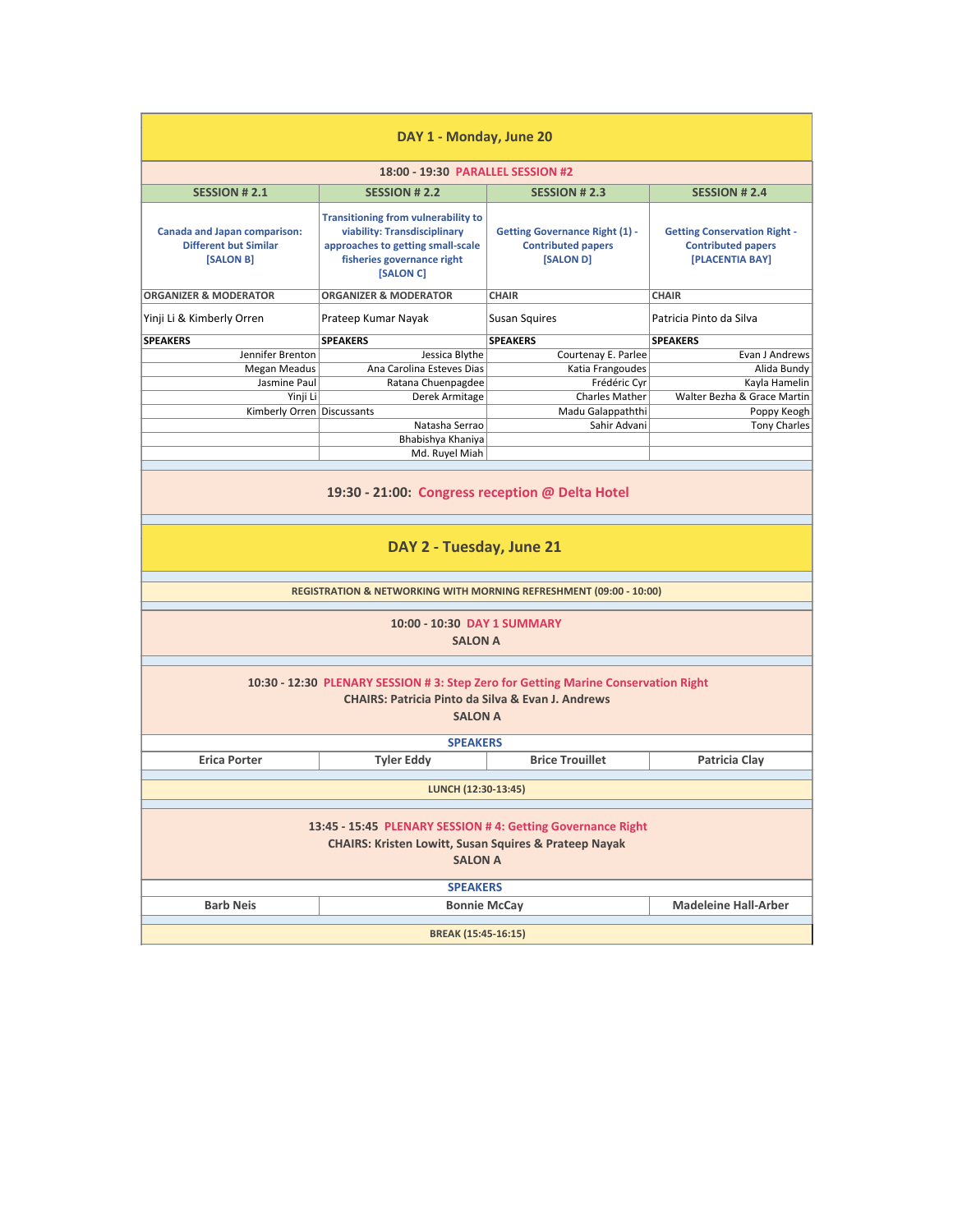| DAY 1 - Monday, June 20                                                                                                                                              |                                                                                                                                                            |                                                                                 |                                                                                     |  |  |  |
|----------------------------------------------------------------------------------------------------------------------------------------------------------------------|------------------------------------------------------------------------------------------------------------------------------------------------------------|---------------------------------------------------------------------------------|-------------------------------------------------------------------------------------|--|--|--|
|                                                                                                                                                                      | 18:00 - 19:30 PARALLEL SESSION #2                                                                                                                          |                                                                                 |                                                                                     |  |  |  |
| <b>SESSION #2.1</b>                                                                                                                                                  | <b>SESSION #2.2</b>                                                                                                                                        | <b>SESSION # 2.3</b>                                                            | <b>SESSION #2.4</b>                                                                 |  |  |  |
| <b>Canada and Japan comparison:</b><br><b>Different but Similar</b><br>[SALON B]                                                                                     | <b>Transitioning from vulnerability to</b><br>viability: Transdisciplinary<br>approaches to getting small-scale<br>fisheries governance right<br>[SALON C] | <b>Getting Governance Right (1) -</b><br><b>Contributed papers</b><br>[SALON D] | <b>Getting Conservation Right -</b><br><b>Contributed papers</b><br>[PLACENTIA BAY] |  |  |  |
| <b>ORGANIZER &amp; MODERATOR</b>                                                                                                                                     | <b>ORGANIZER &amp; MODERATOR</b>                                                                                                                           | <b>CHAIR</b>                                                                    | <b>CHAIR</b>                                                                        |  |  |  |
| Yinji Li & Kimberly Orren                                                                                                                                            | Prateep Kumar Nayak                                                                                                                                        | <b>Susan Squires</b>                                                            | Patricia Pinto da Silva                                                             |  |  |  |
| <b>SPEAKERS</b>                                                                                                                                                      | <b>SPEAKERS</b>                                                                                                                                            | <b>SPEAKERS</b>                                                                 | <b>SPEAKERS</b>                                                                     |  |  |  |
| Jennifer Brenton                                                                                                                                                     | Jessica Blythe                                                                                                                                             | Courtenay E. Parlee                                                             | Evan J Andrews                                                                      |  |  |  |
| <b>Megan Meadus</b>                                                                                                                                                  | Ana Carolina Esteves Dias                                                                                                                                  | Katia Frangoudes                                                                | Alida Bundy                                                                         |  |  |  |
| Jasmine Paul                                                                                                                                                         | Ratana Chuenpagdee                                                                                                                                         | Frédéric Cyr                                                                    | Kayla Hamelin                                                                       |  |  |  |
| Yinji Li                                                                                                                                                             | Derek Armitage                                                                                                                                             | <b>Charles Mather</b>                                                           | Walter Bezha & Grace Martin                                                         |  |  |  |
| Kimberly Orren Discussants                                                                                                                                           |                                                                                                                                                            | Madu Galappaththi<br>Sahir Advani                                               | Poppy Keogh                                                                         |  |  |  |
|                                                                                                                                                                      | Natasha Serrao<br>Bhabishya Khaniya                                                                                                                        |                                                                                 | <b>Tony Charles</b>                                                                 |  |  |  |
|                                                                                                                                                                      | Md. Ruyel Miah                                                                                                                                             |                                                                                 |                                                                                     |  |  |  |
|                                                                                                                                                                      |                                                                                                                                                            |                                                                                 |                                                                                     |  |  |  |
| 19:30 - 21:00: Congress reception @ Delta Hotel                                                                                                                      |                                                                                                                                                            |                                                                                 |                                                                                     |  |  |  |
| DAY 2 - Tuesday, June 21                                                                                                                                             |                                                                                                                                                            |                                                                                 |                                                                                     |  |  |  |
| <b>REGISTRATION &amp; NETWORKING WITH MORNING REFRESHMENT (09:00 - 10:00)</b>                                                                                        |                                                                                                                                                            |                                                                                 |                                                                                     |  |  |  |
| 10:00 - 10:30 DAY 1 SUMMARY<br><b>SALON A</b>                                                                                                                        |                                                                                                                                                            |                                                                                 |                                                                                     |  |  |  |
| 10:30 - 12:30 PLENARY SESSION # 3: Step Zero for Getting Marine Conservation Right<br><b>CHAIRS: Patricia Pinto da Silva &amp; Evan J. Andrews</b><br><b>SALON A</b> |                                                                                                                                                            |                                                                                 |                                                                                     |  |  |  |
|                                                                                                                                                                      | <b>SPEAKERS</b>                                                                                                                                            |                                                                                 |                                                                                     |  |  |  |
| <b>Erica Porter</b>                                                                                                                                                  | <b>Tyler Eddy</b>                                                                                                                                          | <b>Brice Trouillet</b>                                                          | Patricia Clay                                                                       |  |  |  |
| LUNCH (12:30-13:45)                                                                                                                                                  |                                                                                                                                                            |                                                                                 |                                                                                     |  |  |  |
| 13:45 - 15:45 PLENARY SESSION #4: Getting Governance Right<br><b>CHAIRS: Kristen Lowitt, Susan Squires &amp; Prateep Nayak</b><br><b>SALON A</b>                     |                                                                                                                                                            |                                                                                 |                                                                                     |  |  |  |
|                                                                                                                                                                      | <b>SPEAKERS</b>                                                                                                                                            |                                                                                 |                                                                                     |  |  |  |
| <b>Barb Neis</b>                                                                                                                                                     | <b>Madeleine Hall-Arber</b><br><b>Bonnie McCay</b>                                                                                                         |                                                                                 |                                                                                     |  |  |  |
| BREAK (15:45-16:15)                                                                                                                                                  |                                                                                                                                                            |                                                                                 |                                                                                     |  |  |  |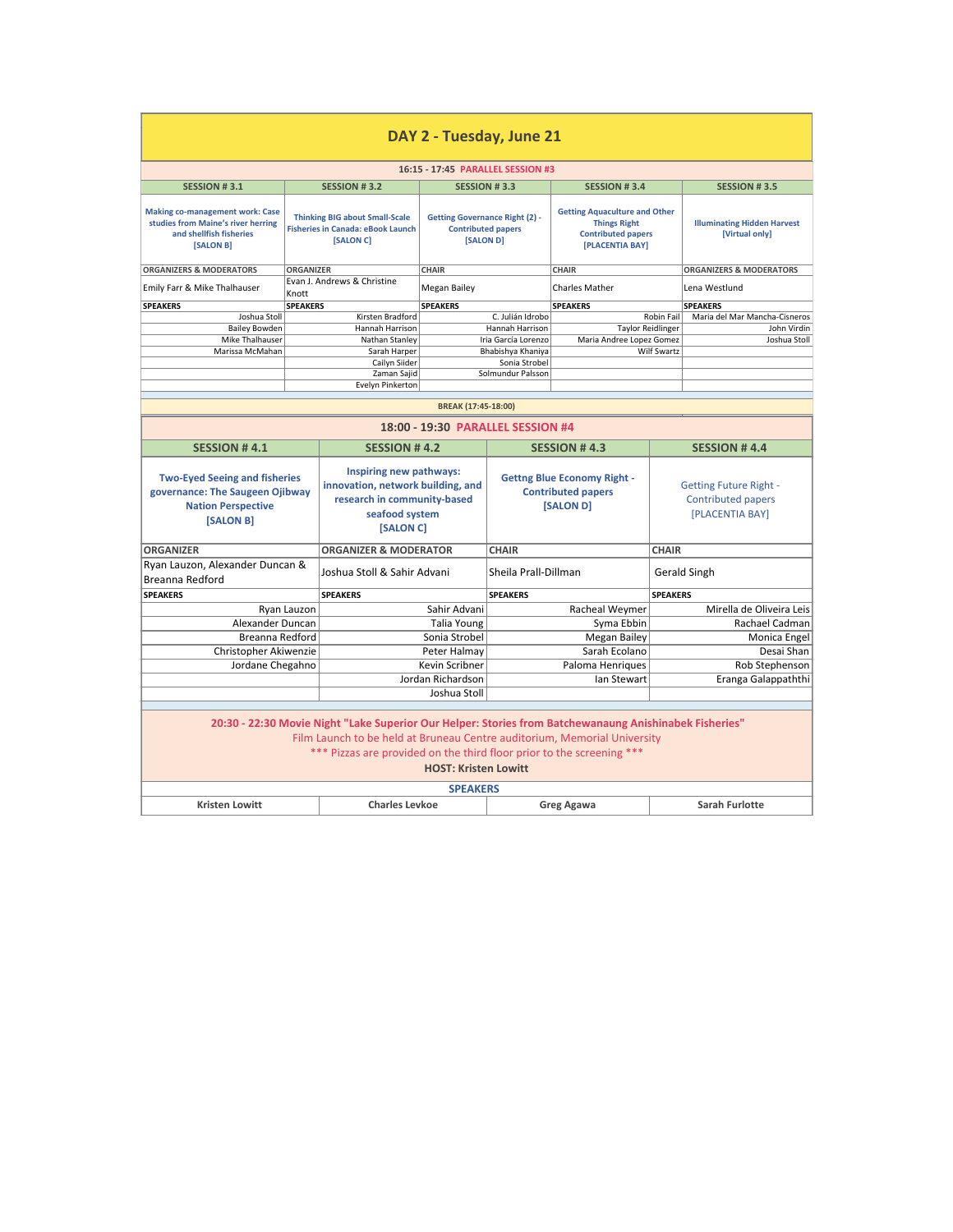| DAY 2 - Tuesday, June 21                                                                                                                                                                                                                                                                   |                  |                                                                                                                            |                                                                                 |                                                                              |                                                                                                             |                                                                               |                                                      |  |
|--------------------------------------------------------------------------------------------------------------------------------------------------------------------------------------------------------------------------------------------------------------------------------------------|------------------|----------------------------------------------------------------------------------------------------------------------------|---------------------------------------------------------------------------------|------------------------------------------------------------------------------|-------------------------------------------------------------------------------------------------------------|-------------------------------------------------------------------------------|------------------------------------------------------|--|
|                                                                                                                                                                                                                                                                                            |                  |                                                                                                                            | 16:15 - 17:45 PARALLEL SESSION #3                                               |                                                                              |                                                                                                             |                                                                               |                                                      |  |
| <b>SESSION #3.1</b>                                                                                                                                                                                                                                                                        |                  | <b>SESSION #3.2</b>                                                                                                        | <b>SESSION #3.3</b>                                                             |                                                                              | <b>SESSION #3.4</b>                                                                                         |                                                                               | <b>SESSION #3.5</b>                                  |  |
| <b>Making co-management work: Case</b><br>studies from Maine's river herring<br>and shellfish fisheries<br>[SALON B]                                                                                                                                                                       |                  | <b>Thinking BIG about Small-Scale</b><br><b>Fisheries in Canada: eBook Launch</b><br>[SALON C]                             | <b>Getting Governance Right (2) -</b><br><b>Contributed papers</b><br>[SALON D] |                                                                              | <b>Getting Aquaculture and Other</b><br><b>Things Right</b><br><b>Contributed papers</b><br>[PLACENTIA BAY] |                                                                               | <b>Illuminating Hidden Harvest</b><br>[Virtual only] |  |
| <b>ORGANIZERS &amp; MODERATORS</b>                                                                                                                                                                                                                                                         | <b>ORGANIZER</b> |                                                                                                                            | <b>CHAIR</b>                                                                    |                                                                              | <b>CHAIR</b>                                                                                                |                                                                               | <b>ORGANIZERS &amp; MODERATORS</b>                   |  |
| Emily Farr & Mike Thalhauser                                                                                                                                                                                                                                                               | Knott            | Evan J. Andrews & Christine                                                                                                | Megan Bailey                                                                    |                                                                              | <b>Charles Mather</b>                                                                                       |                                                                               | Lena Westlund                                        |  |
| <b>SPEAKERS</b>                                                                                                                                                                                                                                                                            | <b>SPEAKERS</b>  |                                                                                                                            | <b>SPEAKERS</b>                                                                 |                                                                              | <b>SPEAKERS</b>                                                                                             |                                                                               | <b>SPEAKERS</b>                                      |  |
| Joshua Stoll<br><b>Bailey Bowden</b>                                                                                                                                                                                                                                                       |                  | Kirsten Bradford<br>Hannah Harrison                                                                                        |                                                                                 | C. Julián Idrobo<br>Hannah Harrison                                          | <b>Taylor Reidlinger</b>                                                                                    | <b>Robin Fail</b>                                                             | Maria del Mar Mancha-Cisneros<br>John Virdin         |  |
| Mike Thalhauser                                                                                                                                                                                                                                                                            |                  | Nathan Stanley                                                                                                             |                                                                                 | Iria García Lorenzo                                                          | Maria Andree Lopez Gomez                                                                                    |                                                                               | Joshua Stoll                                         |  |
| Marissa McMahan                                                                                                                                                                                                                                                                            |                  | Sarah Harper                                                                                                               |                                                                                 | Bhabishya Khaniya                                                            |                                                                                                             | Wilf Swartz                                                                   |                                                      |  |
|                                                                                                                                                                                                                                                                                            |                  | Cailyn Siider                                                                                                              |                                                                                 | Sonia Strobel                                                                |                                                                                                             |                                                                               |                                                      |  |
|                                                                                                                                                                                                                                                                                            |                  | Zaman Sajid<br>Evelyn Pinkerton                                                                                            |                                                                                 | Solmundur Palsson                                                            |                                                                                                             |                                                                               |                                                      |  |
|                                                                                                                                                                                                                                                                                            |                  |                                                                                                                            |                                                                                 |                                                                              |                                                                                                             |                                                                               |                                                      |  |
|                                                                                                                                                                                                                                                                                            |                  |                                                                                                                            | BREAK (17:45-18:00)                                                             |                                                                              |                                                                                                             |                                                                               |                                                      |  |
| 18:00 - 19:30 PARALLEL SESSION #4                                                                                                                                                                                                                                                          |                  |                                                                                                                            |                                                                                 |                                                                              |                                                                                                             |                                                                               |                                                      |  |
| <b>SESSION #4.1</b>                                                                                                                                                                                                                                                                        |                  | <b>SESSION #4.2</b>                                                                                                        |                                                                                 |                                                                              | <b>SESSION #4.3</b>                                                                                         |                                                                               | <b>SESSION #4.4</b>                                  |  |
| <b>Two-Eyed Seeing and fisheries</b><br>governance: The Saugeen Ojibway<br><b>Nation Perspective</b><br>[SALON B]                                                                                                                                                                          |                  | Inspiring new pathways:<br>innovation, network building, and<br>research in community-based<br>seafood system<br>[SALON C] |                                                                                 | <b>Gettng Blue Economy Right -</b><br><b>Contributed papers</b><br>[SALON D] |                                                                                                             | <b>Getting Future Right -</b><br><b>Contributed papers</b><br>[PLACENTIA BAY] |                                                      |  |
| <b>ORGANIZER</b>                                                                                                                                                                                                                                                                           |                  | <b>ORGANIZER &amp; MODERATOR</b>                                                                                           |                                                                                 | <b>CHAIR</b>                                                                 | <b>CHAIR</b>                                                                                                |                                                                               |                                                      |  |
| Ryan Lauzon, Alexander Duncan &<br>Breanna Redford                                                                                                                                                                                                                                         |                  | Joshua Stoll & Sahir Advani                                                                                                |                                                                                 | Sheila Prall-Dillman                                                         |                                                                                                             | Gerald Singh                                                                  |                                                      |  |
| <b>SPEAKERS</b>                                                                                                                                                                                                                                                                            |                  | <b>SPEAKERS</b>                                                                                                            |                                                                                 | <b>SPEAKERS</b>                                                              |                                                                                                             | <b>SPEAKERS</b>                                                               |                                                      |  |
|                                                                                                                                                                                                                                                                                            | Ryan Lauzon      |                                                                                                                            | Sahir Advani                                                                    |                                                                              | Racheal Weymer                                                                                              |                                                                               | Mirella de Oliveira Leis                             |  |
| Alexander Duncan                                                                                                                                                                                                                                                                           |                  |                                                                                                                            | <b>Talia Young</b>                                                              |                                                                              | Syma Ebbin                                                                                                  |                                                                               | Rachael Cadman                                       |  |
| Breanna Redford                                                                                                                                                                                                                                                                            |                  |                                                                                                                            | Sonia Strobel                                                                   |                                                                              | <b>Megan Bailey</b>                                                                                         |                                                                               | Monica Engel                                         |  |
| Christopher Akiwenzie                                                                                                                                                                                                                                                                      |                  |                                                                                                                            | Peter Halmay                                                                    |                                                                              | Sarah Ecolano                                                                                               |                                                                               | Desai Shan                                           |  |
| Jordane Chegahno                                                                                                                                                                                                                                                                           |                  |                                                                                                                            | Kevin Scribner                                                                  |                                                                              | Paloma Henriques                                                                                            |                                                                               | Rob Stephenson                                       |  |
|                                                                                                                                                                                                                                                                                            |                  |                                                                                                                            | Jordan Richardson                                                               |                                                                              | Ian Stewart                                                                                                 |                                                                               | Eranga Galappaththi                                  |  |
|                                                                                                                                                                                                                                                                                            |                  |                                                                                                                            | Joshua Stoll                                                                    |                                                                              |                                                                                                             |                                                                               |                                                      |  |
| 20:30 - 22:30 Movie Night "Lake Superior Our Helper: Stories from Batchewanaung Anishinabek Fisheries"<br>Film Launch to be held at Bruneau Centre auditorium, Memorial University<br>*** Pizzas are provided on the third floor prior to the screening ***<br><b>HOST: Kristen Lowitt</b> |                  |                                                                                                                            |                                                                                 |                                                                              |                                                                                                             |                                                                               |                                                      |  |
| <b>SPEAKERS</b>                                                                                                                                                                                                                                                                            |                  |                                                                                                                            |                                                                                 |                                                                              |                                                                                                             |                                                                               |                                                      |  |
| <b>Kristen Lowitt</b>                                                                                                                                                                                                                                                                      |                  | <b>Charles Levkoe</b>                                                                                                      |                                                                                 |                                                                              | <b>Greg Agawa</b>                                                                                           |                                                                               | <b>Sarah Furlotte</b>                                |  |